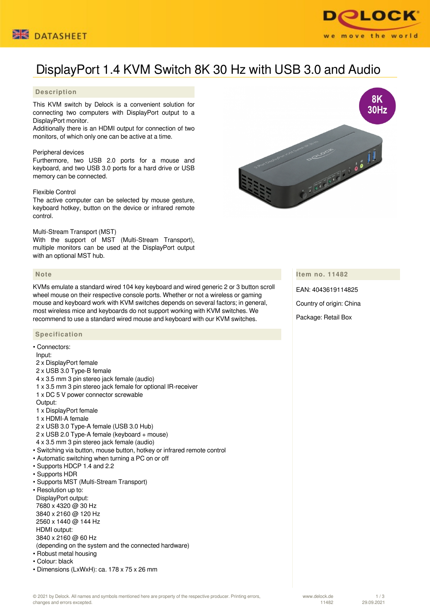



# DisplayPort 1.4 KVM Switch 8K 30 Hz with USB 3.0 and Audio

# **Description**

This KVM switch by Delock is a convenient solution for connecting two computers with DisplayPort output to a DisplayPort monitor.

Additionally there is an HDMI output for connection of two monitors, of which only one can be active at a time.

#### Peripheral devices

Furthermore, two USB 2.0 ports for a mouse and keyboard, and two USB 3.0 ports for a hard drive or USB memory can be connected.

#### Flexible Control

The active computer can be selected by mouse gesture, keyboard hotkey, button on the device or infrared remote control.

#### Multi-Stream Transport (MST)

With the support of MST (Multi-Stream Transport), multiple monitors can be used at the DisplayPort output with an optional MST hub.

#### **Note**

KVMs emulate a standard wired 104 key keyboard and wired generic 2 or 3 button scroll wheel mouse on their respective console ports. Whether or not a wireless or gaming mouse and keyboard work with KVM switches depends on several factors; in general, most wireless mice and keyboards do not support working with KVM switches. We recommend to use a standard wired mouse and keyboard with our KVM switches.

## **Specification**

| • Connectors:                                                           |
|-------------------------------------------------------------------------|
| Input:                                                                  |
| 2 x DisplayPort female                                                  |
| 2 x USB 3.0 Type-B female                                               |
| 4 x 3.5 mm 3 pin stereo jack female (audio)                             |
| 1 x 3.5 mm 3 pin stereo jack female for optional IR-receiver            |
| 1 x DC 5 V power connector screwable                                    |
| Output:                                                                 |
| 1 x DisplayPort female                                                  |
| 1 x HDMI-A female                                                       |
| 2 x USB 3.0 Type-A female (USB 3.0 Hub)                                 |
| 2 x USB 2.0 Type-A female (keyboard + mouse)                            |
| 4 x 3.5 mm 3 pin stereo jack female (audio)                             |
| · Switching via button, mouse button, hotkey or infrared remote control |
| • Automatic switching when turning a PC on or off                       |
| • Supports HDCP 1.4 and 2.2                                             |
| · Supports HDR                                                          |
| • Supports MST (Multi-Stream Transport)                                 |
| • Resolution up to:                                                     |
| DisplayPort output:                                                     |
| 7680 x 4320 @ 30 Hz                                                     |
| 3840 x 2160 @ 120 Hz                                                    |
| 2560 x 1440 @ 144 Hz                                                    |
| HDMI output:                                                            |
| 3840 x 2160 @ 60 Hz                                                     |
| (depending on the system and the connected hardware)                    |
| • Robust metal housing                                                  |
| • Colour: black                                                         |
| • Dimensions (LxWxH): ca. 178 x 75 x 26 mm                              |



# **Item no. 11482**

EAN: 4043619114825

Country of origin: China

Package: Retail Box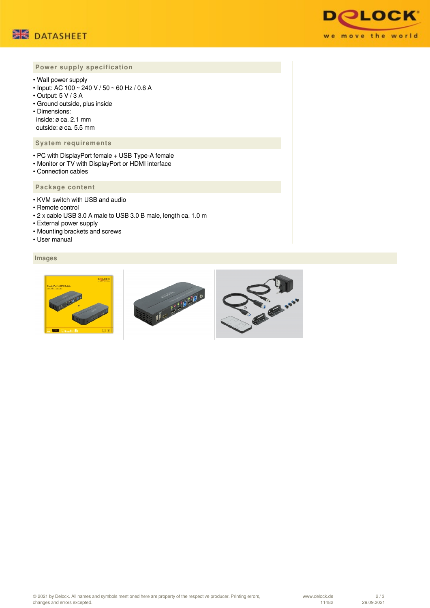



# **Power supply specification**

- Wall power supply
- Input: AC 100 ~ 240 V / 50 ~ 60 Hz / 0.6 A
- Output: 5 V / 3 A
- Ground outside, plus inside
- Dimensions: inside: ø ca. 2.1 mm outside: ø ca. 5.5 mm

#### **System requirements**

- PC with DisplayPort female + USB Type-A female
- Monitor or TV with DisplayPort or HDMI interface
- Connection cables

# **Package content**

- KVM switch with USB and audio
- Remote control
- 2 x cable USB 3.0 A male to USB 3.0 B male, length ca. 1.0 m
- External power supply
- Mounting brackets and screws
- User manual

# **Images**